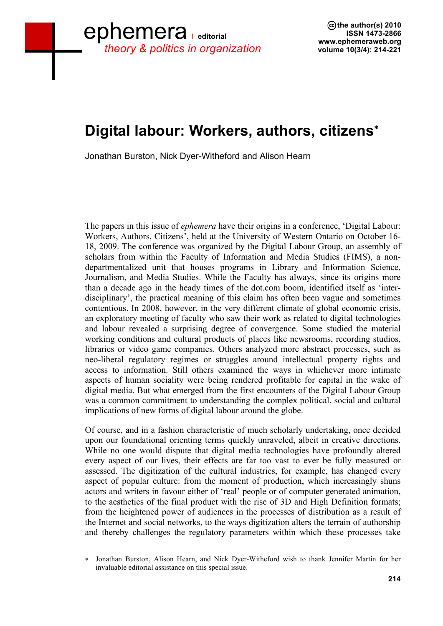## **Digital labour: Workers, authors, citizens**<sup>∗</sup>

Jonathan Burston, Nick Dyer-Witheford and Alison Hearn

The papers in this issue of *ephemera* have their origins in a conference, 'Digital Labour: Workers, Authors, Citizens', held at the University of Western Ontario on October 16- 18, 2009. The conference was organized by the Digital Labour Group, an assembly of scholars from within the Faculty of Information and Media Studies (FIMS), a nondepartmentalized unit that houses programs in Library and Information Science, Journalism, and Media Studies. While the Faculty has always, since its origins more than a decade ago in the heady times of the dot.com boom, identified itself as 'interdisciplinary', the practical meaning of this claim has often been vague and sometimes contentious. In 2008, however, in the very different climate of global economic crisis, an exploratory meeting of faculty who saw their work as related to digital technologies and labour revealed a surprising degree of convergence. Some studied the material working conditions and cultural products of places like newsrooms, recording studios, libraries or video game companies. Others analyzed more abstract processes, such as neo-liberal regulatory regimes or struggles around intellectual property rights and access to information. Still others examined the ways in whichever more intimate aspects of human sociality were being rendered profitable for capital in the wake of digital media. But what emerged from the first encounters of the Digital Labour Group was a common commitment to understanding the complex political, social and cultural implications of new forms of digital labour around the globe.

Of course, and in a fashion characteristic of much scholarly undertaking, once decided upon our foundational orienting terms quickly unraveled, albeit in creative directions. While no one would dispute that digital media technologies have profoundly altered every aspect of our lives, their effects are far too vast to ever be fully measured or assessed. The digitization of the cultural industries, for example, has changed every aspect of popular culture: from the moment of production, which increasingly shuns actors and writers in favour either of 'real' people or of computer generated animation, to the aesthetics of the final product with the rise of 3D and High Definition formats; from the heightened power of audiences in the processes of distribution as a result of the Internet and social networks, to the ways digitization alters the terrain of authorship and thereby challenges the regulatory parameters within which these processes take

 $\frac{1}{2}$ 

<sup>∗</sup> Jonathan Burston, Alison Hearn, and Nick Dyer-Witheford wish to thank Jennifer Martin for her invaluable editorial assistance on this special issue.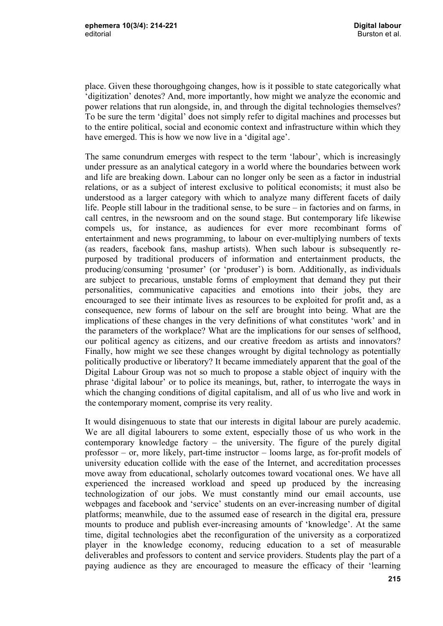place. Given these thoroughgoing changes, how is it possible to state categorically what 'digitization' denotes? And, more importantly, how might we analyze the economic and power relations that run alongside, in, and through the digital technologies themselves? To be sure the term 'digital' does not simply refer to digital machines and processes but to the entire political, social and economic context and infrastructure within which they have emerged. This is how we now live in a 'digital age'.

The same conundrum emerges with respect to the term 'labour', which is increasingly under pressure as an analytical category in a world where the boundaries between work and life are breaking down. Labour can no longer only be seen as a factor in industrial relations, or as a subject of interest exclusive to political economists; it must also be understood as a larger category with which to analyze many different facets of daily life. People still labour in the traditional sense, to be sure – in factories and on farms, in call centres, in the newsroom and on the sound stage. But contemporary life likewise compels us, for instance, as audiences for ever more recombinant forms of entertainment and news programming, to labour on ever-multiplying numbers of texts (as readers, facebook fans, mashup artists). When such labour is subsequently repurposed by traditional producers of information and entertainment products, the producing/consuming 'prosumer' (or 'produser') is born. Additionally, as individuals are subject to precarious, unstable forms of employment that demand they put their personalities, communicative capacities and emotions into their jobs, they are encouraged to see their intimate lives as resources to be exploited for profit and, as a consequence, new forms of labour on the self are brought into being. What are the implications of these changes in the very definitions of what constitutes 'work' and in the parameters of the workplace? What are the implications for our senses of selfhood, our political agency as citizens, and our creative freedom as artists and innovators? Finally, how might we see these changes wrought by digital technology as potentially politically productive or liberatory? It became immediately apparent that the goal of the Digital Labour Group was not so much to propose a stable object of inquiry with the phrase 'digital labour' or to police its meanings, but, rather, to interrogate the ways in which the changing conditions of digital capitalism, and all of us who live and work in the contemporary moment, comprise its very reality.

It would disingenuous to state that our interests in digital labour are purely academic. We are all digital labourers to some extent, especially those of us who work in the contemporary knowledge factory – the university. The figure of the purely digital professor – or, more likely, part-time instructor – looms large, as for-profit models of university education collide with the ease of the Internet, and accreditation processes move away from educational, scholarly outcomes toward vocational ones. We have all experienced the increased workload and speed up produced by the increasing technologization of our jobs. We must constantly mind our email accounts, use webpages and facebook and 'service' students on an ever-increasing number of digital platforms; meanwhile, due to the assumed ease of research in the digital era, pressure mounts to produce and publish ever-increasing amounts of 'knowledge'. At the same time, digital technologies abet the reconfiguration of the university as a corporatized player in the knowledge economy, reducing education to a set of measurable deliverables and professors to content and service providers. Students play the part of a paying audience as they are encouraged to measure the efficacy of their 'learning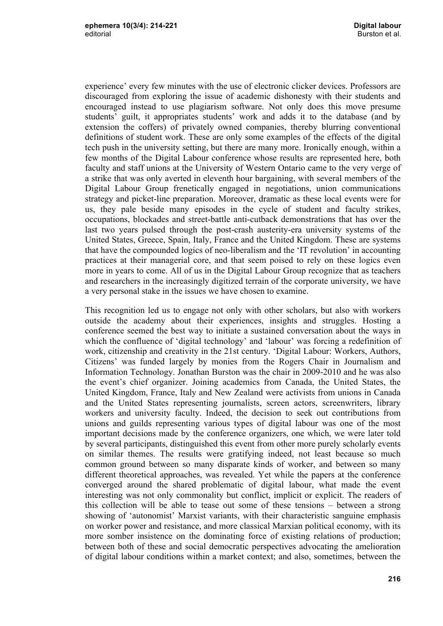experience' every few minutes with the use of electronic clicker devices. Professors are discouraged from exploring the issue of academic dishonesty with their students and encouraged instead to use plagiarism software. Not only does this move presume students' guilt, it appropriates students' work and adds it to the database (and by extension the coffers) of privately owned companies, thereby blurring conventional definitions of student work. These are only some examples of the effects of the digital tech push in the university setting, but there are many more. Ironically enough, within a few months of the Digital Labour conference whose results are represented here, both faculty and staff unions at the University of Western Ontario came to the very verge of a strike that was only averted in eleventh hour bargaining, with several members of the Digital Labour Group frenetically engaged in negotiations, union communications strategy and picket-line preparation. Moreover, dramatic as these local events were for us, they pale beside many episodes in the cycle of student and faculty strikes, occupations, blockades and street-battle anti-cutback demonstrations that has over the last two years pulsed through the post-crash austerity-era university systems of the United States, Greece, Spain, Italy, France and the United Kingdom. These are systems that have the compounded logics of neo-liberalism and the 'IT revolution' in accounting practices at their managerial core, and that seem poised to rely on these logics even more in years to come. All of us in the Digital Labour Group recognize that as teachers and researchers in the increasingly digitized terrain of the corporate university, we have a very personal stake in the issues we have chosen to examine.

This recognition led us to engage not only with other scholars, but also with workers outside the academy about their experiences, insights and struggles. Hosting a conference seemed the best way to initiate a sustained conversation about the ways in which the confluence of 'digital technology' and 'labour' was forcing a redefinition of work, citizenship and creativity in the 21st century. 'Digital Labour: Workers, Authors, Citizens' was funded largely by monies from the Rogers Chair in Journalism and Information Technology. Jonathan Burston was the chair in 2009-2010 and he was also the event's chief organizer. Joining academics from Canada, the United States, the United Kingdom, France, Italy and New Zealand were activists from unions in Canada and the United States representing journalists, screen actors, screenwriters, library workers and university faculty. Indeed, the decision to seek out contributions from unions and guilds representing various types of digital labour was one of the most important decisions made by the conference organizers, one which, we were later told by several participants, distinguished this event from other more purely scholarly events on similar themes. The results were gratifying indeed, not least because so much common ground between so many disparate kinds of worker, and between so many different theoretical approaches, was revealed. Yet while the papers at the conference converged around the shared problematic of digital labour, what made the event interesting was not only commonality but conflict, implicit or explicit. The readers of this collection will be able to tease out some of these tensions – between a strong showing of 'autonomist' Marxist variants, with their characteristic sanguine emphasis on worker power and resistance, and more classical Marxian political economy, with its more somber insistence on the dominating force of existing relations of production; between both of these and social democratic perspectives advocating the amelioration of digital labour conditions within a market context; and also, sometimes, between the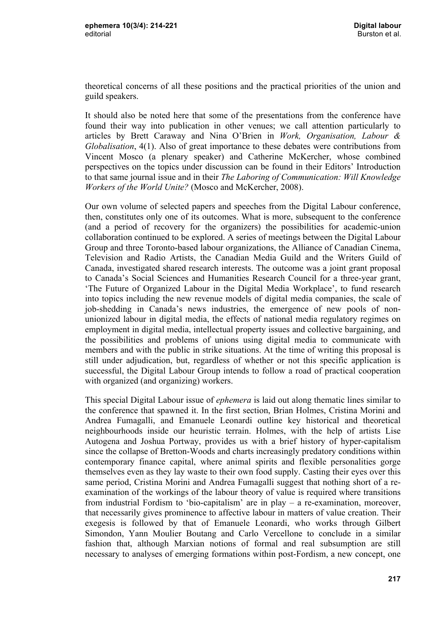theoretical concerns of all these positions and the practical priorities of the union and guild speakers.

It should also be noted here that some of the presentations from the conference have found their way into publication in other venues; we call attention particularly to articles by Brett Caraway and Nina O'Brien in *Work, Organisation, Labour & Globalisation*, 4(1). Also of great importance to these debates were contributions from Vincent Mosco (a plenary speaker) and Catherine McKercher, whose combined perspectives on the topics under discussion can be found in their Editors' Introduction to that same journal issue and in their *The Laboring of Communication: Will Knowledge Workers of the World Unite?* (Mosco and McKercher, 2008).

Our own volume of selected papers and speeches from the Digital Labour conference, then, constitutes only one of its outcomes. What is more, subsequent to the conference (and a period of recovery for the organizers) the possibilities for academic-union collaboration continued to be explored. A series of meetings between the Digital Labour Group and three Toronto-based labour organizations, the Alliance of Canadian Cinema, Television and Radio Artists, the Canadian Media Guild and the Writers Guild of Canada, investigated shared research interests. The outcome was a joint grant proposal to Canada's Social Sciences and Humanities Research Council for a three-year grant, 'The Future of Organized Labour in the Digital Media Workplace', to fund research into topics including the new revenue models of digital media companies, the scale of job-shedding in Canada's news industries, the emergence of new pools of nonunionized labour in digital media, the effects of national media regulatory regimes on employment in digital media, intellectual property issues and collective bargaining, and the possibilities and problems of unions using digital media to communicate with members and with the public in strike situations. At the time of writing this proposal is still under adjudication, but, regardless of whether or not this specific application is successful, the Digital Labour Group intends to follow a road of practical cooperation with organized (and organizing) workers.

This special Digital Labour issue of *ephemera* is laid out along thematic lines similar to the conference that spawned it. In the first section, Brian Holmes, Cristina Morini and Andrea Fumagalli, and Emanuele Leonardi outline key historical and theoretical neighbourhoods inside our heuristic terrain. Holmes, with the help of artists Lise Autogena and Joshua Portway, provides us with a brief history of hyper-capitalism since the collapse of Bretton-Woods and charts increasingly predatory conditions within contemporary finance capital, where animal spirits and flexible personalities gorge themselves even as they lay waste to their own food supply. Casting their eyes over this same period, Cristina Morini and Andrea Fumagalli suggest that nothing short of a reexamination of the workings of the labour theory of value is required where transitions from industrial Fordism to 'bio-capitalism' are in play – a re-examination, moreover, that necessarily gives prominence to affective labour in matters of value creation. Their exegesis is followed by that of Emanuele Leonardi, who works through Gilbert Simondon, Yann Moulier Boutang and Carlo Vercellone to conclude in a similar fashion that, although Marxian notions of formal and real subsumption are still necessary to analyses of emerging formations within post-Fordism, a new concept, one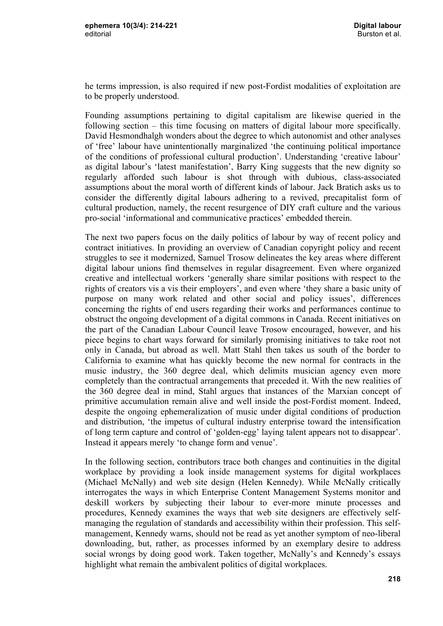he terms impression, is also required if new post-Fordist modalities of exploitation are to be properly understood.

Founding assumptions pertaining to digital capitalism are likewise queried in the following section – this time focusing on matters of digital labour more specifically. David Hesmondhalgh wonders about the degree to which autonomist and other analyses of 'free' labour have unintentionally marginalized 'the continuing political importance of the conditions of professional cultural production'. Understanding 'creative labour' as digital labour's 'latest manifestation', Barry King suggests that the new dignity so regularly afforded such labour is shot through with dubious, class-associated assumptions about the moral worth of different kinds of labour. Jack Bratich asks us to consider the differently digital labours adhering to a revived, precapitalist form of cultural production, namely, the recent resurgence of DIY craft culture and the various pro-social 'informational and communicative practices' embedded therein.

The next two papers focus on the daily politics of labour by way of recent policy and contract initiatives. In providing an overview of Canadian copyright policy and recent struggles to see it modernized, Samuel Trosow delineates the key areas where different digital labour unions find themselves in regular disagreement. Even where organized creative and intellectual workers 'generally share similar positions with respect to the rights of creators vis a vis their employers', and even where 'they share a basic unity of purpose on many work related and other social and policy issues', differences concerning the rights of end users regarding their works and performances continue to obstruct the ongoing development of a digital commons in Canada. Recent initiatives on the part of the Canadian Labour Council leave Trosow encouraged, however, and his piece begins to chart ways forward for similarly promising initiatives to take root not only in Canada, but abroad as well. Matt Stahl then takes us south of the border to California to examine what has quickly become the new normal for contracts in the music industry, the 360 degree deal, which delimits musician agency even more completely than the contractual arrangements that preceded it. With the new realities of the 360 degree deal in mind, Stahl argues that instances of the Marxian concept of primitive accumulation remain alive and well inside the post-Fordist moment. Indeed, despite the ongoing ephemeralization of music under digital conditions of production and distribution, 'the impetus of cultural industry enterprise toward the intensification of long term capture and control of 'golden-egg' laying talent appears not to disappear'. Instead it appears merely 'to change form and venue'.

In the following section, contributors trace both changes and continuities in the digital workplace by providing a look inside management systems for digital workplaces (Michael McNally) and web site design (Helen Kennedy). While McNally critically interrogates the ways in which Enterprise Content Management Systems monitor and deskill workers by subjecting their labour to ever-more minute processes and procedures, Kennedy examines the ways that web site designers are effectively selfmanaging the regulation of standards and accessibility within their profession. This selfmanagement, Kennedy warns, should not be read as yet another symptom of neo-liberal downloading, but, rather, as processes informed by an exemplary desire to address social wrongs by doing good work. Taken together, McNally's and Kennedy's essays highlight what remain the ambivalent politics of digital workplaces.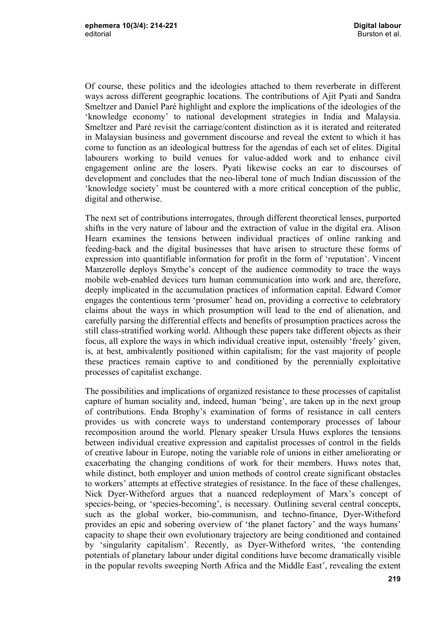Of course, these politics and the ideologies attached to them reverberate in different ways across different geographic locations. The contributions of Ajit Pyati and Sandra Smeltzer and Daniel Paré highlight and explore the implications of the ideologies of the 'knowledge economy' to national development strategies in India and Malaysia. Smeltzer and Paré revisit the carriage/content distinction as it is iterated and reiterated in Malaysian business and government discourse and reveal the extent to which it has come to function as an ideological buttress for the agendas of each set of elites. Digital labourers working to build venues for value-added work and to enhance civil engagement online are the losers. Pyati likewise cocks an ear to discourses of development and concludes that the neo-liberal tone of much Indian discussion of the 'knowledge society' must be countered with a more critical conception of the public, digital and otherwise.

The next set of contributions interrogates, through different theoretical lenses, purported shifts in the very nature of labour and the extraction of value in the digital era. Alison Hearn examines the tensions between individual practices of online ranking and feeding-back and the digital businesses that have arisen to structure these forms of expression into quantifiable information for profit in the form of 'reputation'. Vincent Manzerolle deploys Smythe's concept of the audience commodity to trace the ways mobile web-enabled devices turn human communication into work and are, therefore, deeply implicated in the accumulation practices of information capital. Edward Comor engages the contentious term 'prosumer' head on, providing a corrective to celebratory claims about the ways in which prosumption will lead to the end of alienation, and carefully parsing the differential effects and benefits of prosumption practices across the still class-stratified working world. Although these papers take different objects as their focus, all explore the ways in which individual creative input, ostensibly 'freely' given, is, at best, ambivalently positioned within capitalism; for the vast majority of people these practices remain captive to and conditioned by the perennially exploitative processes of capitalist exchange.

The possibilities and implications of organized resistance to these processes of capitalist capture of human sociality and, indeed, human 'being', are taken up in the next group of contributions. Enda Brophy's examination of forms of resistance in call centers provides us with concrete ways to understand contemporary processes of labour recomposition around the world. Plenary speaker Ursula Huws explores the tensions between individual creative expression and capitalist processes of control in the fields of creative labour in Europe, noting the variable role of unions in either ameliorating or exacerbating the changing conditions of work for their members. Huws notes that, while distinct, both employer and union methods of control create significant obstacles to workers' attempts at effective strategies of resistance. In the face of these challenges, Nick Dyer-Witheford argues that a nuanced redeployment of Marx's concept of species-being, or 'species-becoming', is necessary. Outlining several central concepts, such as the global worker, bio-communism, and techno-finance, Dyer-Witheford provides an epic and sobering overview of 'the planet factory' and the ways humans' capacity to shape their own evolutionary trajectory are being conditioned and contained by 'singularity capitalism'. Recently, as Dyer-Witheford writes, 'the contending potentials of planetary labour under digital conditions have become dramatically visible in the popular revolts sweeping North Africa and the Middle East', revealing the extent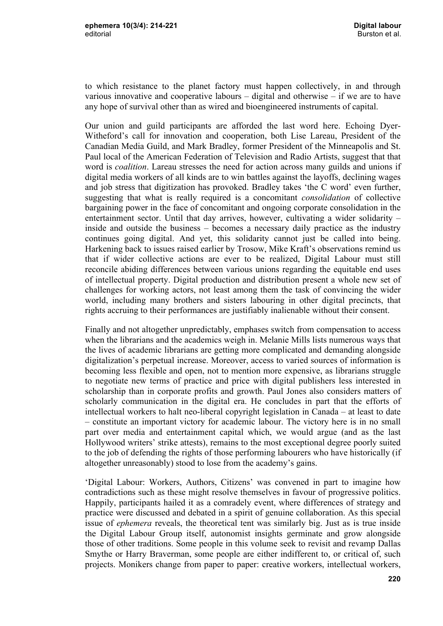to which resistance to the planet factory must happen collectively, in and through various innovative and cooperative labours – digital and otherwise – if we are to have any hope of survival other than as wired and bioengineered instruments of capital.

Our union and guild participants are afforded the last word here. Echoing Dyer-Witheford's call for innovation and cooperation, both Lise Lareau, President of the Canadian Media Guild, and Mark Bradley, former President of the Minneapolis and St. Paul local of the American Federation of Television and Radio Artists, suggest that that word is *coalition*. Lareau stresses the need for action across many guilds and unions if digital media workers of all kinds are to win battles against the layoffs, declining wages and job stress that digitization has provoked. Bradley takes 'the C word' even further, suggesting that what is really required is a concomitant *consolidation* of collective bargaining power in the face of concomitant and ongoing corporate consolidation in the entertainment sector. Until that day arrives, however, cultivating a wider solidarity – inside and outside the business – becomes a necessary daily practice as the industry continues going digital. And yet, this solidarity cannot just be called into being. Harkening back to issues raised earlier by Trosow, Mike Kraft's observations remind us that if wider collective actions are ever to be realized, Digital Labour must still reconcile abiding differences between various unions regarding the equitable end uses of intellectual property. Digital production and distribution present a whole new set of challenges for working actors, not least among them the task of convincing the wider world, including many brothers and sisters labouring in other digital precincts, that rights accruing to their performances are justifiably inalienable without their consent.

Finally and not altogether unpredictably, emphases switch from compensation to access when the librarians and the academics weigh in. Melanie Mills lists numerous ways that the lives of academic librarians are getting more complicated and demanding alongside digitalization's perpetual increase. Moreover, access to varied sources of information is becoming less flexible and open, not to mention more expensive, as librarians struggle to negotiate new terms of practice and price with digital publishers less interested in scholarship than in corporate profits and growth. Paul Jones also considers matters of scholarly communication in the digital era. He concludes in part that the efforts of intellectual workers to halt neo-liberal copyright legislation in Canada – at least to date – constitute an important victory for academic labour. The victory here is in no small part over media and entertainment capital which, we would argue (and as the last Hollywood writers' strike attests), remains to the most exceptional degree poorly suited to the job of defending the rights of those performing labourers who have historically (if altogether unreasonably) stood to lose from the academy's gains.

'Digital Labour: Workers, Authors, Citizens' was convened in part to imagine how contradictions such as these might resolve themselves in favour of progressive politics. Happily, participants hailed it as a comradely event, where differences of strategy and practice were discussed and debated in a spirit of genuine collaboration. As this special issue of *ephemera* reveals, the theoretical tent was similarly big. Just as is true inside the Digital Labour Group itself, autonomist insights germinate and grow alongside those of other traditions. Some people in this volume seek to revisit and revamp Dallas Smythe or Harry Braverman, some people are either indifferent to, or critical of, such projects. Monikers change from paper to paper: creative workers, intellectual workers,